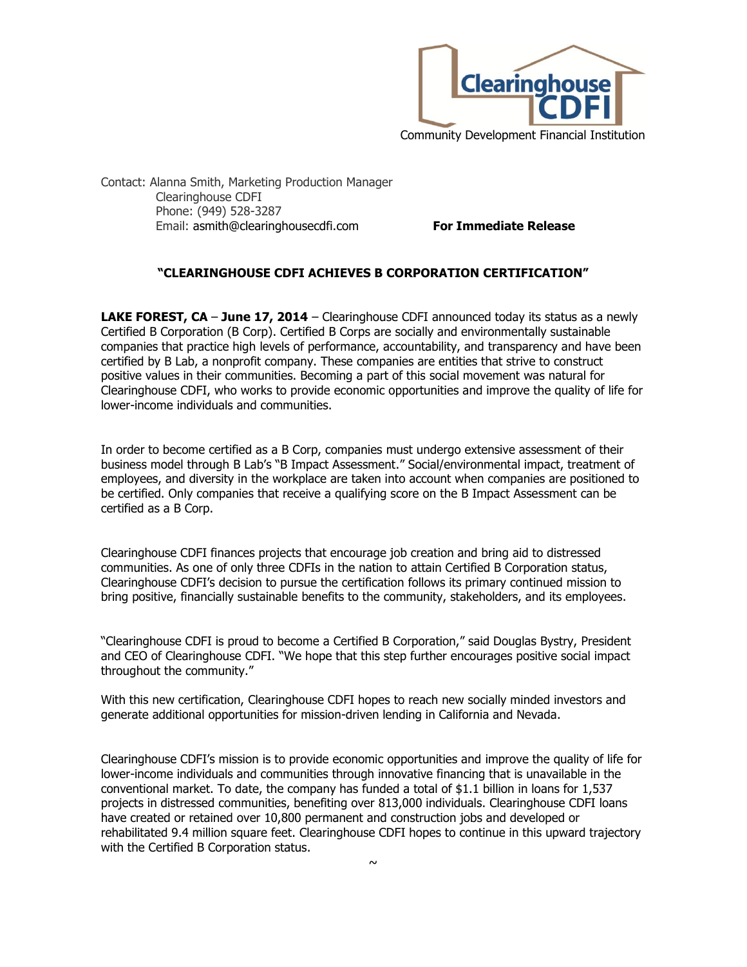

Contact: Alanna Smith, Marketing Production Manager Clearinghouse CDFI Phone: (949) 528-3287 Email: asmith@clearinghousecdfi.com **For Immediate Release**

## **"CLEARINGHOUSE CDFI ACHIEVES B CORPORATION CERTIFICATION"**

**LAKE FOREST, CA - June 17, 2014** – Clearinghouse CDFI announced today its status as a newly Certified B Corporation (B Corp). Certified B Corps are socially and environmentally sustainable companies that practice high levels of performance, accountability, and transparency and have been certified by B Lab, a nonprofit company. These companies are entities that strive to construct positive values in their communities. Becoming a part of this social movement was natural for Clearinghouse CDFI, who works to provide economic opportunities and improve the quality of life for lower-income individuals and communities.

In order to become certified as a B Corp, companies must undergo extensive assessment of their business model through B Lab's "B Impact Assessment." Social/environmental impact, treatment of employees, and diversity in the workplace are taken into account when companies are positioned to be certified. Only companies that receive a qualifying score on the B Impact Assessment can be certified as a B Corp.

Clearinghouse CDFI finances projects that encourage job creation and bring aid to distressed communities. As one of only three CDFIs in the nation to attain Certified B Corporation status, Clearinghouse CDFI's decision to pursue the certification follows its primary continued mission to bring positive, financially sustainable benefits to the community, stakeholders, and its employees.

"Clearinghouse CDFI is proud to become a Certified B Corporation," said Douglas Bystry, President and CEO of Clearinghouse CDFI. "We hope that this step further encourages positive social impact throughout the community."

With this new certification, Clearinghouse CDFI hopes to reach new socially minded investors and generate additional opportunities for mission-driven lending in California and Nevada.

Clearinghouse CDFI's mission is to provide economic opportunities and improve the quality of life for lower-income individuals and communities through innovative financing that is unavailable in the conventional market. To date, the company has funded a total of \$1.1 billion in loans for 1,537 projects in distressed communities, benefiting over 813,000 individuals. Clearinghouse CDFI loans have created or retained over 10,800 permanent and construction jobs and developed or rehabilitated 9.4 million square feet. Clearinghouse CDFI hopes to continue in this upward trajectory with the Certified B Corporation status.